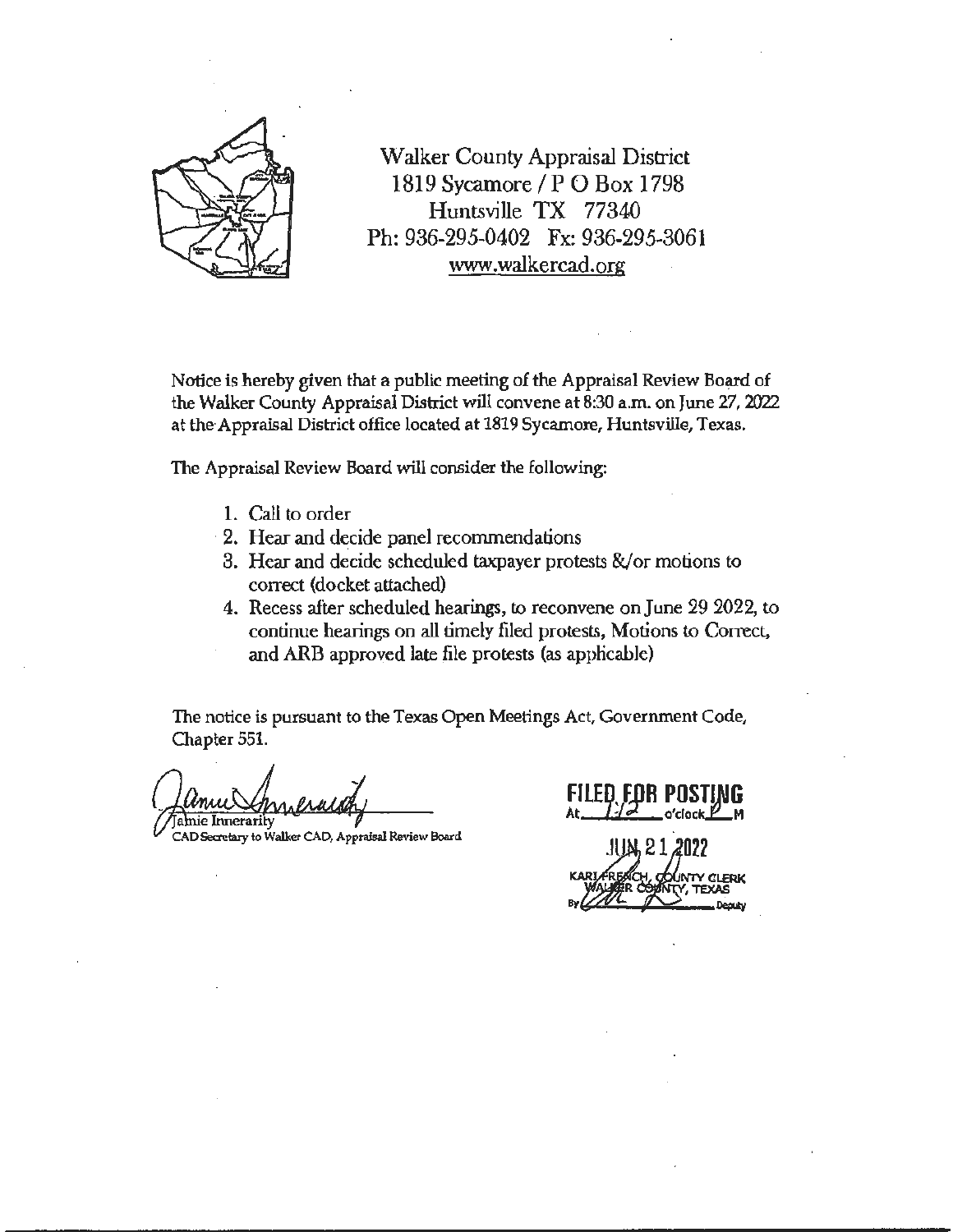

Walker County Appraisal District 1819 Sycamore/PO Box 1798 Huntsville TX 77340 Ph: 936-295-0402 Fx: 936-295-3061 www.walkercad.org

Notice is hereby given that a public meeting of the Appraisal Review Board of the Walker County Appraisal District will convene at 8:30 a.m. on June 27, 2022 at the Appraisal District office located at 1819 Sycamore, Huntsville, Texas.

The Appraisal Review Board will consider the following:

- l. Call to order
- · 2. Hear and decide panel recommendations
- 3. Hear and decide scheduled taxpayer protests &/or motions to correct (docket attached)
- 4. Recess after scheduled hearings, to reconvene on June 29 2022, to continue hearings on all timely filed protests, Motions to Correct, and ARB approved late file protests (as applicable).

The notice is pursuant to the Texas Open Meetings Act, Government Code, Chapter 551.

Jalmie Innerarity<br>CAD <del>Secretary</del> to Walker CAD, Appraisal Review Board

 $\mathfrak{o}'$ clock $\cancel{\mathbb{P}}$ 

 $.1$ UM<sub>2</sub> 21, 2022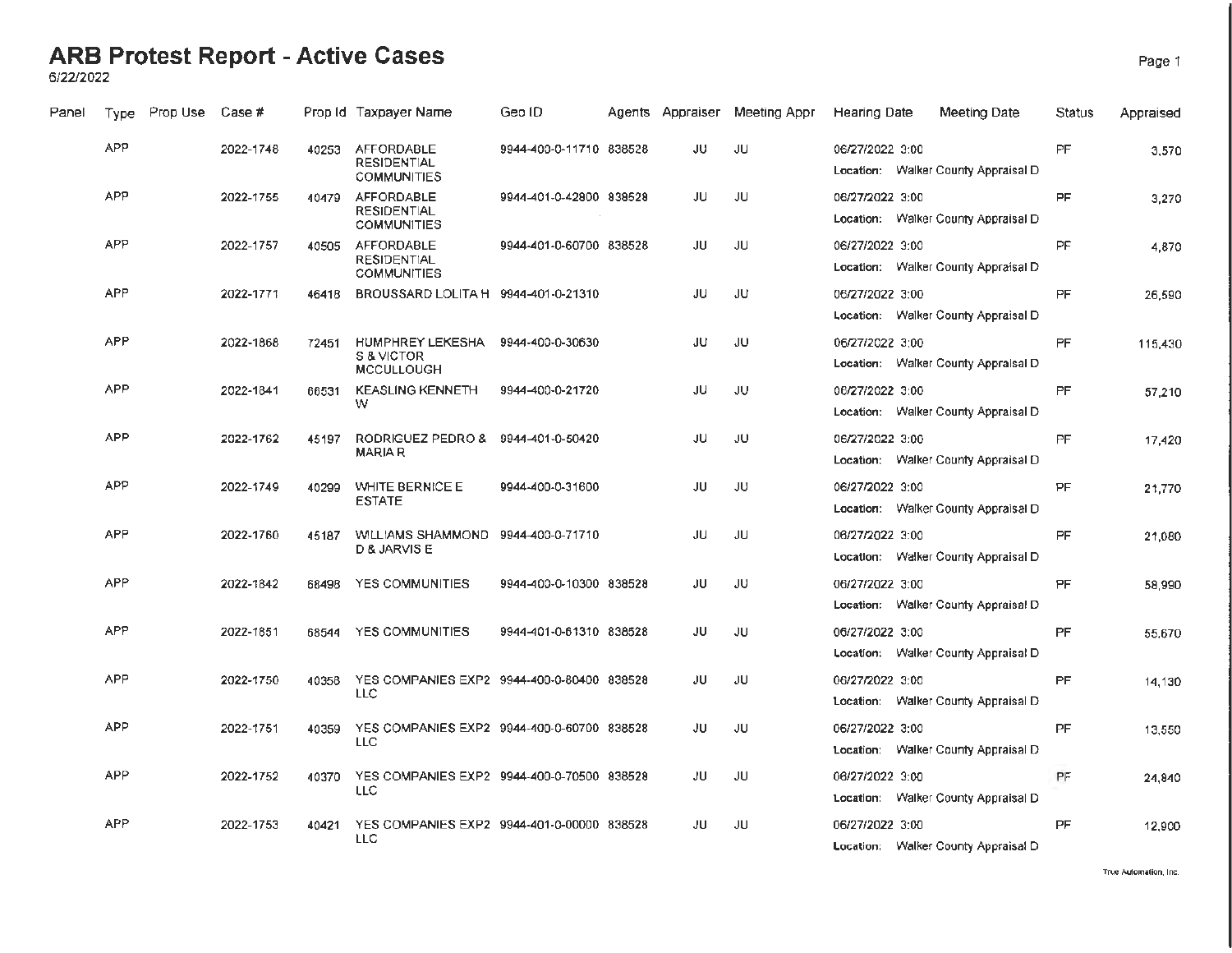6/22/2022

| Panel | Type       | Prop Use | Case #    |       | Prop Id Taxpayer Name                                         | Geo ID                  | Agents Appraiser | Meeting Appr | <b>Hearing Date</b> | Meeting Date                        | Status    | Appraised |
|-------|------------|----------|-----------|-------|---------------------------------------------------------------|-------------------------|------------------|--------------|---------------------|-------------------------------------|-----------|-----------|
|       | <b>APP</b> |          | 2022-1748 | 40253 | AFFORDABLE<br><b>RESIDENTIAL</b><br><b>COMMUNITIES</b>        | 9944-400-0-11710 838528 | JU               | JU           | 06/27/2022 3:00     | Location: Walker County Appraisal D | PF        | 3.570     |
|       | <b>APP</b> |          | 2022-1755 | 40479 | <b>AFFORDABLE</b><br><b>RESIDENTIAL</b><br><b>COMMUNITIES</b> | 9944-401-0-42800 838528 | JU               | JU           | 06/27/2022 3:00     | Location: Walker County Appraisal D | PF        | 3,270     |
|       | <b>APP</b> |          | 2022-1757 | 40505 | AFFORDABLE<br><b>RESIDENTIAL</b><br><b>COMMUNITIES</b>        | 9944-401-0-60700 838528 | JU               | JU           | 06/27/2022 3:00     | Location: Walker County Appraisal D | PF        | 4,870     |
|       | <b>APP</b> |          | 2022-1771 | 46418 | BROUSSARD LOLITA H 9944-401-0-21310                           |                         | JU               | JU           | 06/27/2022 3:00     | Location: Walker County Appraisal D | PF        | 26,590    |
|       | <b>APP</b> |          | 2022-1868 | 72451 | <b>HUMPHREY LEKESHA</b><br>S & VICTOR<br><b>MCCULLOUGH</b>    | 9944-400-0-30630        | JU               | JU           | 06/27/2022 3:00     | Location: Walker County Appraisal D | PF        | 115,430   |
|       | <b>APP</b> |          | 2022-1841 | 66531 | <b>KEASLING KENNETH</b><br>w                                  | 9944-400-0-21720        | JU               | JU           | 06/27/2022 3:00     | Location: Walker County Appraisal D | PF        | 57,210    |
|       | <b>APP</b> |          | 2022-1762 | 45197 | RODRIGUEZ PEDRO &<br><b>MARIA R</b>                           | 9944-401-0-50420        | JU               | JU.          | 06/27/2022 3:00     | Location: Walker County Appraisal D | PF.       | 17,420    |
|       | <b>APP</b> |          | 2022-1749 | 40299 | <b>WHITE BERNICE E</b><br><b>ESTATE</b>                       | 9944-400-0-31600        | JU               | JU           | 06/27/2022 3:00     | Location: Walker County Appraisal D | PF        | 21,770    |
|       | <b>APP</b> |          | 2022-1760 | 45187 | <b>WILLIAMS SHAMMOND</b><br><b>D &amp; JARVIS E</b>           | 9944-400-0-71710        | JU               | JU           | 06/27/2022 3:00     | Location: Walker County Appraisal D | <b>PF</b> | 21,080    |
|       | <b>APP</b> |          | 2022-1842 | 68498 | <b>YES COMMUNITIES</b>                                        | 9944-400-0-10300 838528 | JU               | JU           | 06/27/2022 3:00     | Location: Walker County Appraisal D | PF        | 58.990    |
|       | <b>APP</b> |          | 2022-1851 | 68544 | YES COMMUNITIES                                               | 9944-401-0-61310 838528 | JU               | JU           | 06/27/2022 3:00     | Location: Walker County Appraisal D | PF.       | 55.670    |
|       | <b>APP</b> |          | 2022-1750 | 40358 | YES COMPANIES EXP2 9944-400-0-80400 838528<br><b>LLC</b>      |                         | JU               | JU           | 06/27/2022 3:00     | Location: Walker County Appraisal D | <b>PF</b> | 14,130    |
|       | <b>APP</b> |          | 2022-1751 | 40359 | YES COMPANIES EXP2 9944-400-0-60700 838528<br><b>LLC</b>      |                         | JU               | JU           | 06/27/2022 3:00     | Location: Walker County Appraisal D | <b>PF</b> | 13,550    |
|       | <b>APP</b> |          | 2022-1752 | 40370 | YES COMPANIES EXP2 9944-400-0-70500 838528<br><b>LLC</b>      |                         | JU               | <b>JU</b>    | 06/27/2022 3:00     | Location: Walker County Appraisal D | PF        | 24,840    |
|       | <b>APP</b> |          | 2022-1753 | 40421 | YES COMPANIES EXP2 9944-401-0-00000 838528<br><b>LLC</b>      |                         | JU               | JU.          | 06/27/2022 3:00     | Location: Walker County Appraisal D | <b>PF</b> | 12,900    |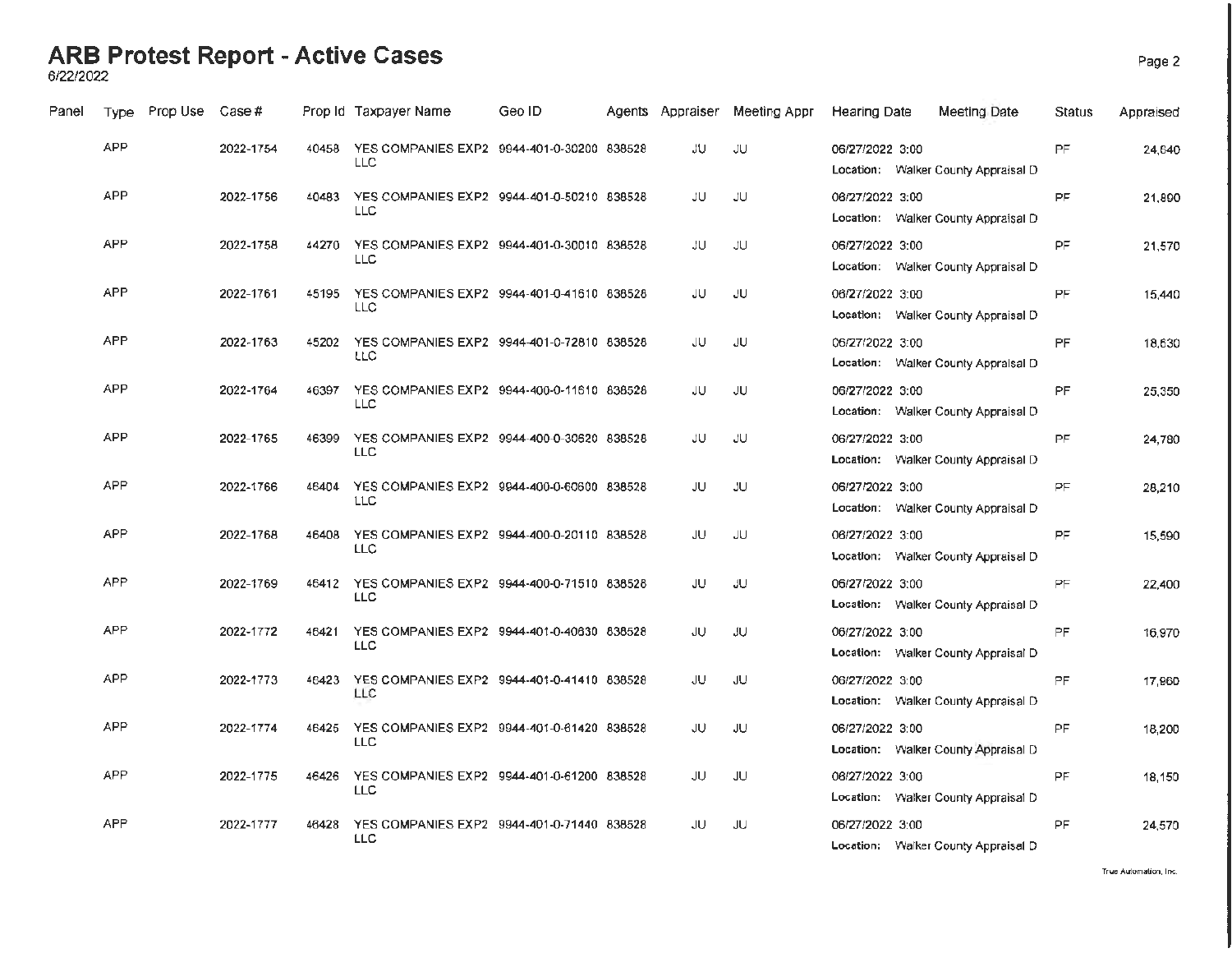6/22/2022

| Panel | <b>Type</b> | Prop Use | Case #    |       | Prop Id Taxpayer Name                                    | Geo ID | Agents Appraiser | Meeting Appr | <b>Hearing Date</b> | Meeting Date                        | Status    | Appraised |
|-------|-------------|----------|-----------|-------|----------------------------------------------------------|--------|------------------|--------------|---------------------|-------------------------------------|-----------|-----------|
|       | <b>APP</b>  |          | 2022-1754 | 40458 | YES COMPANIES EXP2 9944-401-0-30200 838528<br>LLC        |        | JU               | JU           | 06/27/2022 3:00     | Location: Walker County Appraisal D | PF        | 24.640    |
|       | <b>APP</b>  |          | 2022-1756 | 40483 | YES COMPANIES EXP2 9944-401-0-50210 838528<br><b>LLC</b> |        | JU               | JU           | 06/27/2022 3:00     | Location: Walker County Appraisal D | PF        | 21,890    |
|       | <b>APP</b>  |          | 2022-1758 | 44270 | YES COMPANIES EXP2 9944-401-0-30010 838528<br>LLC        |        | JU               | JU.          | 06/27/2022 3:00     | Location: Walker County Appraisal D | <b>PF</b> | 21,570    |
|       | APP         |          | 2022-1761 | 45195 | YES COMPANIES EXP2 9944-401-0-41610 838528<br><b>LLC</b> |        | JU               | JU.          | 06/27/2022 3:00     | Location: Walker County Appraisal D | PF        | 15,440    |
|       | <b>APP</b>  |          | 2022-1763 | 45202 | YES COMPANIES EXP2 9944-401-0-72810 838528<br>LLC        |        | JU               | JU.          | 06/27/2022 3:00     | Location: Walker County Appraisal D | <b>PF</b> | 18,630    |
|       | <b>APP</b>  |          | 2022-1764 | 46397 | YES COMPANIES EXP2 9944-400-0-11610 838528<br><b>LLC</b> |        | JU               | JU.          | 06/27/2022 3:00     | Location: Walker County Appraisal D | PF        | 25,350    |
|       | <b>APP</b>  |          | 2022-1765 | 46399 | YES COMPANIES EXP2 9944-400-0-30620 838528<br>LLC.       |        | JU               | JU.          | 06/27/2022 3:00     | Location: Walker County Appraisal D | PF        | 24,780    |
|       | <b>APP</b>  |          | 2022-1766 | 46404 | YES COMPANIES EXP2 9944-400-0-60600 838528<br>LLC        |        | JU               | JU.          | 06/27/2022 3:00     | Location: Walker County Appraisal D | PF        | 28,210    |
|       | <b>APP</b>  |          | 2022-1768 | 46408 | YES COMPANIES EXP2 9944-400-0-20110 838528<br><b>LLC</b> |        | JU               | JU           | 06/27/2022 3:00     | Location: Walker County Appraisal D | PF        | 15,590    |
|       | APP         |          | 2022-1769 | 46412 | YES COMPANIES EXP2 9944-400-0-71510 838528<br>LLC.       |        | JU               | JU.          | 06/27/2022 3:00     | Location: Walker County Appraisal D | PF        | 22,400    |
|       | <b>APP</b>  |          | 2022-1772 | 46421 | YES COMPANIES EXP2 9944-401-0-40630 838528<br><b>LLC</b> |        | JU               | JU.          | 06/27/2022 3:00     | Location: Walker County Appraisal D | PF        | 16,970    |
|       | <b>APP</b>  |          | 2022-1773 | 46423 | YES COMPANIES EXP2 9944-401-0-41410 838528<br>LLC        |        | JU               | JU.          | 06/27/2022 3:00     | Location: Walker County Appraisal D | PF.       | 17,960    |
|       | <b>APP</b>  |          | 2022-1774 | 46425 | YES COMPANIES EXP2 9944-401-0-61420 838528<br>LLC.       |        | JU               | JU           | 06/27/2022 3:00     | Location: Walker County Appraisal D | PF.       | 18,200    |
|       | <b>APP</b>  |          | 2022-1775 | 46426 | YES COMPANIES EXP2 9944-401-0-61200 838528<br>LLC        |        | JU               | JU           | 06/27/2022 3:00     | Location: Walker County Appraisal D | <b>PF</b> | 18,150    |
|       | <b>APP</b>  |          | 2022-1777 | 46428 | YES COMPANIES EXP2 9944-401-0-71440 838528<br><b>LLC</b> |        | JU               | JU           | 06/27/2022 3:00     | Location: Walker County Appraisal D | PF.       | 24,570    |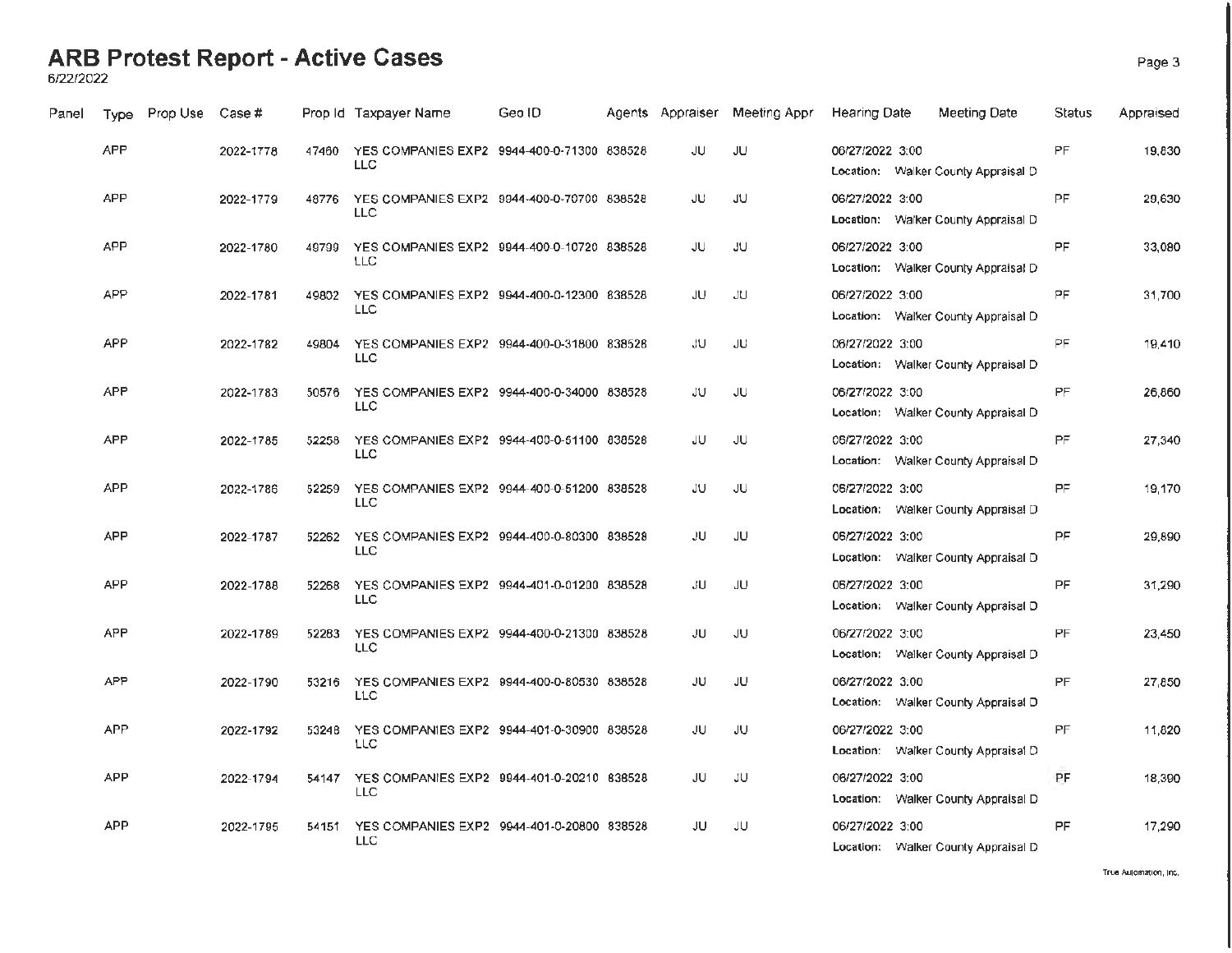6/22/2022

| Panel | <b>Type</b> | Prop Use | Case #    |       | Prop Id Taxpayer Name                                          | Geo ID | Agents Appraiser | Meeting Appr | Hearing Date    | Meeting Date                        | Status    | Appraised |
|-------|-------------|----------|-----------|-------|----------------------------------------------------------------|--------|------------------|--------------|-----------------|-------------------------------------|-----------|-----------|
|       | <b>APP</b>  |          | 2022-1778 | 47460 | YES COMPANIES EXP2 9944-400-0-71300 838528<br><b>LLC</b>       |        | JU               | JU.          | 06/27/2022 3:00 | Location: Walker County Appraisal D | PF        | 19.830    |
|       | APP         |          | 2022-1779 | 48776 | YES COMPANIES EXP2 9944-400-0-70700 838528<br><b>LLC</b>       |        | JU               | JU.          | 06/27/2022 3:00 | Location: Walker County Appraisal D | PF.       | 29,630    |
|       | <b>APP</b>  |          | 2022-1780 | 49799 | YES COMPANIES EXP2 9944-400-0-10720 838528<br><b>LLC</b>       |        | JU               | <b>JU</b>    | 06/27/2022 3:00 | Location: Walker County Appraisal D | <b>PF</b> | 33,080    |
|       | <b>APP</b>  |          | 2022-1781 | 49802 | YES COMPANIES EXP2 9944-400-0-12300 838528<br>LLC              |        | JU               | JU           | 06/27/2022 3:00 | Location: Walker County Appraisal D | PF.       | 31,700    |
|       | <b>APP</b>  |          | 2022-1782 | 49804 | YES COMPANIES EXP2 9944-400-0-31800 838528<br><b>LLC</b>       |        | JU               | JU           | 06/27/2022 3:00 | Location: Walker County Appraisal D | PF.       | 19.410    |
|       | APP         |          | 2022-1783 | 50576 | YES COMPANIES EXP2 9944-400-0-34000 838528<br><b>LLC</b>       |        | JU               | JU           | 06/27/2022 3:00 | Location: Walker County Appraisal D | PF        | 26,860    |
|       | <b>APP</b>  |          | 2022-1785 | 52258 | YES COMPANIES EXP2 9944-400-0-51100 838528<br><b>LLC</b>       |        | JU               | JU           | 06/27/2022 3:00 | Location: Walker County Appraisal D | <b>PF</b> | 27,340    |
|       | <b>APP</b>  |          | 2022-1786 | 52259 | YES COMPANIES EXP2 9944-400-0-51200 838528<br><b>LLC</b>       |        | JU               | JU.          | 06/27/2022 3:00 | Location: Walker County Appraisal D | <b>PF</b> | 19,170    |
|       | <b>APP</b>  |          | 2022-1787 |       | 52262 YES COMPANIES EXP2 9944-400-0-80300 838528<br><b>LLC</b> |        | JU               | JU.          | 06/27/2022 3:00 | Location: Walker County Appraisal D | <b>PF</b> | 29,890    |
|       | <b>APP</b>  |          | 2022-1788 | 52268 | YES COMPANIES EXP2 9944-401-0-01200 838528<br><b>LLC</b>       |        | JU.              | JU           | 06/27/2022 3:00 | Location: Walker County Appraisal D | <b>PF</b> | 31,290    |
|       | <b>APP</b>  |          | 2022-1789 | 52283 | YES COMPANIES EXP2 9944-400-0-21300 838528<br><b>LLC</b>       |        | JU               | <b>JU</b>    | 06/27/2022 3:00 | Location: Walker County Appraisal D | PF        | 23,450    |
|       | <b>APP</b>  |          | 2022-1790 |       | 53216 YES COMPANIES EXP2 9944-400-0-80530 838528<br><b>LLC</b> |        | JU.              | JU.          | 06/27/2022 3:00 | Location: Walker County Appraisal D | PF        | 27,850    |
|       | <b>APP</b>  |          | 2022-1792 | 53248 | YES COMPANIES EXP2 9944-401-0-30900 838528<br>LLC              |        | JU               | JU           | 06/27/2022 3:00 | Location: Walker County Appraisal D | PF        | 11,820    |
|       | <b>APP</b>  |          | 2022-1794 | 54147 | YES COMPANIES EXP2 9944-401-0-20210 838528<br><b>LLC</b>       |        | JU               | <b>JU</b>    | 06/27/2022 3:00 | Location: Walker County Appraisal D | PF        | 18,390    |
|       | <b>APP</b>  |          | 2022-1795 | 54151 | YES COMPANIES EXP2 9944-401-0-20800 838528<br>LLC              |        | JU               | JU           | 06/27/2022 3:00 | Location: Walker County Appraisal D | <b>PF</b> | 17,290    |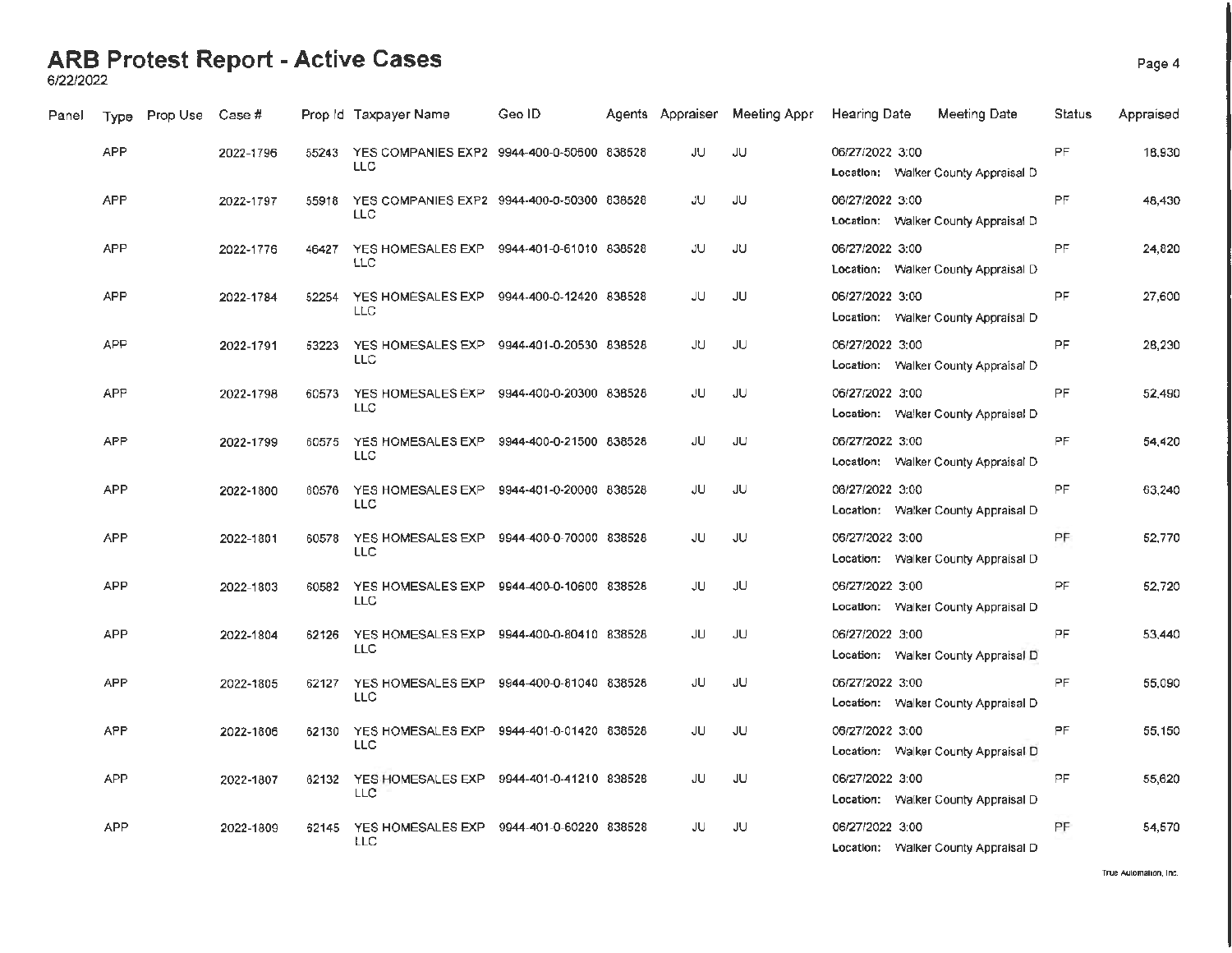6/22/2022

| Panel | <b>Type</b> | Prop Use | Case #    |       | Prop Id Taxpayer Name                                   | Geo ID.                 |     | Agents Appraiser Meeting Appr | <b>Hearing Date</b> | Meeting Date                        | Status    | Appraised |
|-------|-------------|----------|-----------|-------|---------------------------------------------------------|-------------------------|-----|-------------------------------|---------------------|-------------------------------------|-----------|-----------|
|       | <b>APP</b>  |          | 2022-1796 | 55243 | YES COMPANIES EXP2 9944-400-0-50600 838528<br>LLC       |                         | JU  | JU                            | 06/27/2022 3:00     | Location: Walker County Appraisal D | PF        | 18,930    |
|       | <b>APP</b>  |          | 2022-1797 | 55918 | YES COMPANIES EXP2 9944-400-0-50300 838528<br>LLC       |                         | JU  | JU                            | 06/27/2022 3:00     | Location: Walker County Appraisal D | <b>PF</b> | 48,430    |
|       | <b>APP</b>  |          | 2022-1776 | 46427 | YES HOMESALES EXP 9944-401-0-61010 838528<br>LLC        |                         | JU  | JU                            | 06/27/2022 3:00     | Location: Walker County Appraisal D | PF.       | 24.820    |
|       | <b>APP</b>  |          | 2022-1784 | 52254 | YES HOMESALES EXP<br>LLC                                | 9944-400-0-12420 838528 | JU  | JU                            | 06/27/2022 3:00     | Location: Walker County Appraisal D | <b>PF</b> | 27,600    |
|       | APP         |          | 2022-1791 | 53223 | YES HOMESALES EXP 9944-401-0-20530 838528<br>LLC        |                         | JU. | JU                            | 06/27/2022 3:00     | Location: Walker County Appraisal D | <b>PF</b> | 28,230    |
|       | <b>APP</b>  |          | 2022-1798 | 60573 | YES HOMESALES EXP 9944-400-0-20300 838528<br><b>LLC</b> |                         | JU  | JU.                           | 06/27/2022 3:00     | Location: Walker County Appraisal D | <b>PF</b> | 52,490    |
|       | <b>APP</b>  |          | 2022-1799 | 60575 | YES HOMESALES EXP<br><b>LLC</b>                         | 9944-400-0-21500 838528 | JU  | JU                            | 06/27/2022 3:00     | Location: Walker County Appraisal D | PF        | 54,420    |
|       | <b>APP</b>  |          | 2022-1800 | 60576 | YES HOMESALES EXP<br><b>LLC</b>                         | 9944-401-0-20000 838528 | JU  | JU                            | 06/27/2022 3:00     | Location: Walker County Appraisal D | PF.       | 63.240    |
|       | <b>APP</b>  |          | 2022-1801 | 60578 | YES HOMESALES EXP 9944-400-0-70000 838528<br><b>LLC</b> |                         | JU  | JU.                           | 06/27/2022 3:00     | Location: Walker County Appraisal D | PF        | 52,770    |
|       | <b>APP</b>  |          | 2022-1803 | 60582 | YES HOMESALES EXP 9944-400-0-10600 838528<br><b>LLC</b> |                         | JU  | JU                            | 06/27/2022 3:00     | Location: Walker County Appraisal D | PF        | 52.720    |
|       | <b>APP</b>  |          | 2022-1804 | 62126 | YES HOMESALES EXP<br>LLC.                               | 9944-400-0-80410 838528 | JU  | JU                            | 06/27/2022 3:00     | Location: Walker County Appraisal D | PF        | 53,440    |
|       | <b>APP</b>  |          | 2022-1805 | 62127 | YES HOMESALES EXP 9944-400-0-81040 838528<br><b>LLC</b> |                         | JU  | JU                            | 06/27/2022 3:00     | Location: Walker County Appraisal D | PF        | 55,090    |
|       | <b>APP</b>  |          | 2022-1806 | 62130 | YES HOMESALES EXP<br><b>LLC</b>                         | 9944-401-0-01420 838528 | JU  | JU                            | 06/27/2022 3:00     | Location: Walker County Appraisal D | PF        | 55,150    |
|       | <b>APP</b>  |          | 2022-1807 | 62132 | YES HOMESALES EXP 9944-401-0-41210 838528<br><b>LLC</b> |                         | JU  | JU                            | 06/27/2022 3:00     | Location: Walker County Appraisal D | <b>PF</b> | 55,620    |
|       | <b>APP</b>  |          | 2022-1809 | 62145 | YES HOMESALES EXP<br><b>LLC</b>                         | 9944-401-0-60220 838528 | JU  | JU                            | 06/27/2022 3:00     | Location: Walker County Appraisal D | PF        | 54,570    |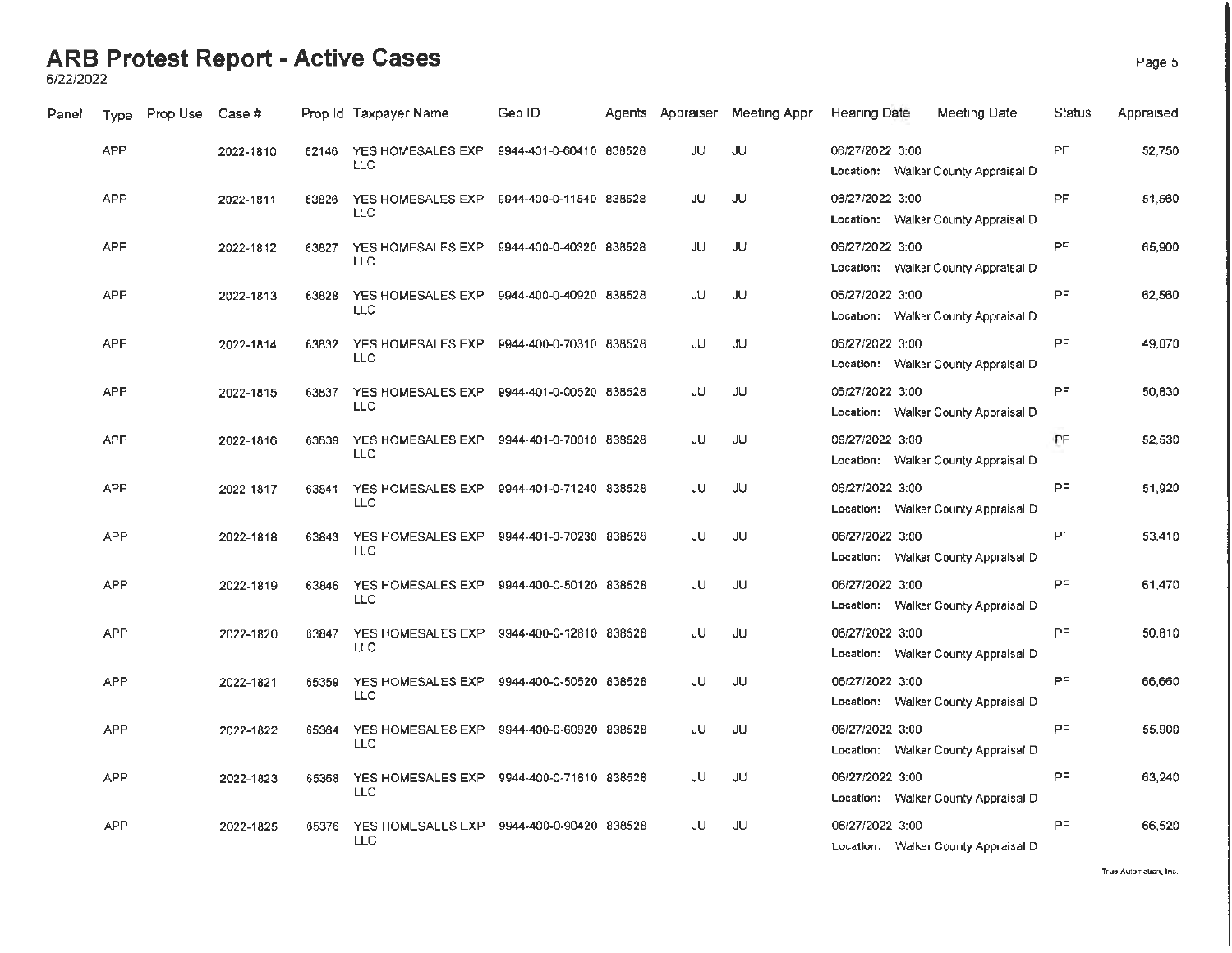**6/22/2022** 

| Panel | Type       | Prop Use | Case #    |       | Prop Id Taxpayer Name                                     | Geo ID                  |    | Agents Appraiser Meeting Appr | Hearing Date                                           | Meeting Date | Status    | Appraised |
|-------|------------|----------|-----------|-------|-----------------------------------------------------------|-------------------------|----|-------------------------------|--------------------------------------------------------|--------------|-----------|-----------|
|       | <b>APP</b> |          | 2022-1810 | 62146 | YES HOMESALES EXP<br>LLC                                  | 9944-401-0-60410 838528 | JU | <b>JU</b>                     | 06/27/2022 3:00<br>Location: Walker County Appraisal D |              | PF        | 52,750    |
|       | <b>APP</b> |          | 2022-1811 | 63826 | YES HOMESALES EXP 9944-400-0-11540 838528<br>LLC          |                         | JU | JU                            | 06/27/2022 3:00<br>Location: Walker County Appraisal D |              | PF        | 51,560    |
|       | <b>APP</b> |          | 2022-1812 | 63827 | YES HOMESALES EXP 9944-400-0-40320 838528<br>LLC          |                         | JU | JU                            | 06/27/2022 3:00<br>Location: Walker County Appraisal D |              | PF        | 65,900    |
|       | <b>APP</b> |          | 2022-1813 | 63828 | YES HOMESALES EXP<br><b>LLC</b>                           | 9944-400-0-40920 838528 | JU | JU                            | 06/27/2022 3:00<br>Location: Walker County Appraisal D |              | PF        | 62,560    |
|       | <b>APP</b> |          | 2022-1814 | 63832 | YES HOMESALES EXP  9944-400-0-70310  838528<br><b>LLC</b> |                         | JU | JU.                           | 06/27/2022 3:00<br>Location: Walker County Appraisal D |              | <b>PF</b> | 49,070    |
|       | <b>APP</b> |          | 2022-1815 | 63837 | YES HOMESALES EXP 9944-401-0-00520 838528<br><b>LLC</b>   |                         | JU | JU                            | 06/27/2022 3:00<br>Location: Walker County Appraisal D |              | PF        | 50,830    |
|       | <b>APP</b> |          | 2022-1816 | 63839 | YES HOMESALES EXP 9944-401-0-70010 838528<br><b>LLC</b>   |                         | JU | JU                            | 06/27/2022 3:00<br>Location: Walker County Appraisal D |              | PF        | 52,530    |
|       | <b>APP</b> |          | 2022-1817 | 63841 | YES HOMESALES EXP 9944-401-0-71240 838528<br>LLC.         |                         | JU | JU                            | 06/27/2022 3:00<br>Location: Walker County Appraisal D |              | <b>PF</b> | 51,920    |
|       | <b>APP</b> |          | 2022-1818 | 63843 | YES HOMESALES EXP<br>LLC                                  | 9944-401-0-70230 838528 | JU | JU                            | 06/27/2022 3:00<br>Location: Walker County Appraisal D |              | PF.       | 53,410    |
|       | APP        |          | 2022-1819 | 63846 | YES HOMESALES EXP<br><b>LLC</b>                           | 9944-400-0-50120 838528 | JU | JU                            | 06/27/2022 3:00<br>Location: Walker County Appraisal D |              | <b>PF</b> | 61,470    |
|       | <b>APP</b> |          | 2022-1820 | 63847 | YES HOMESALES EXP<br><b>LLC</b>                           | 9944-400-0-12810 838528 | JU | JU                            | 06/27/2022 3:00<br>Location: Walker County Appraisal D |              | <b>PF</b> | 50,810    |
|       | <b>APP</b> |          | 2022-1821 | 65359 | YES HOMESALES EXP<br>LLC                                  | 9944-400-0-50520 838528 | JU | JU                            | 06/27/2022 3:00<br>Location: Walker County Appraisal D |              | PF.       | 66,660    |
|       | <b>APP</b> |          | 2022-1822 | 65364 | YES HOMESALES EXP 9944-400-0-60920 838528<br><b>LLC</b>   |                         | JU | JU                            | 06/27/2022 3:00<br>Location: Walker County Appraisal D |              | PF.       | 55,900    |
|       | <b>APP</b> |          | 2022-1823 | 65368 | YES HOMESALES EXP 9944-400-0-71610 838528<br>LLC          |                         | JU | JU                            | 06/27/2022 3:00<br>Location: Walker County Appraisal D |              | PF.       | 63,240    |
|       | APP        |          | 2022-1825 | 65376 | YES HOMESALES EXP<br><b>LLC</b>                           | 9944-400-0-90420 838528 | JU | JU                            | 06/27/2022 3:00<br>Location: Walker County Appraisal D |              | PF.       | 66.520    |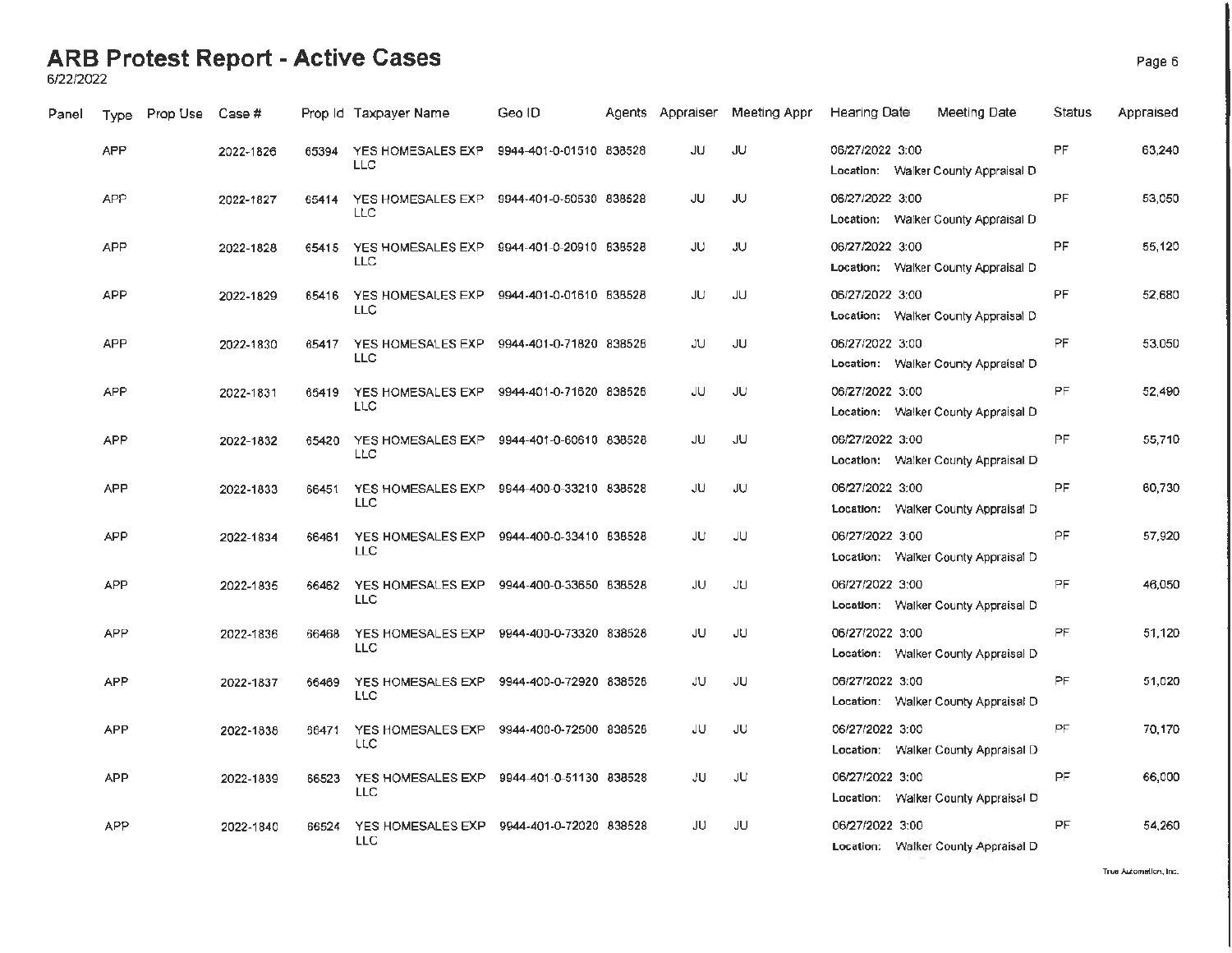6/22/2022

| Panel | Type       | Prop Use | Case #    |       | Prop Id Taxpayer Name                                   | Geo ID                  | Agents Appraiser | Meeting Appr | <b>Hearing Date</b> | Meeting Date                        | Status    | Appraised |
|-------|------------|----------|-----------|-------|---------------------------------------------------------|-------------------------|------------------|--------------|---------------------|-------------------------------------|-----------|-----------|
|       | <b>APP</b> |          | 2022-1826 | 65394 | YES HOMESALES EXP<br><b>LLC</b>                         | 9944-401-0-01510 838528 | JU               | JU           | 06/27/2022 3:00     | Location: Walker County Appraisal D | <b>PF</b> | 63,240    |
|       | APP        |          | 2022-1827 | 65414 | YES HOMESALES EXP 9944-401-0-50530 838528<br>LLC.       |                         | JU               | JU           | 06/27/2022 3:00     | Location: Walker County Appraisal D | PF        | 53,050    |
|       | <b>APP</b> |          | 2022-1828 | 65415 | YES HOMESALES EXP 9944-401-0-20910 838528<br><b>LLC</b> |                         | JU               | JU           | 06/27/2022 3:00     | Location: Walker County Appraisal D | <b>PF</b> | 55,120    |
|       | <b>APP</b> |          | 2022-1829 | 65416 | YES HOMESALES EXP<br>LLC                                | 9944-401-0-01610 838528 | JU               | JU           | 06/27/2022 3:00     | Location: Walker County Appraisal D | <b>PF</b> | 52,680    |
|       | <b>APP</b> |          | 2022-1830 | 65417 | YES HOMESALES EXP 9944-401-0-71820 838528<br><b>LLC</b> |                         | JU               | <b>JU</b>    | 06/27/2022 3:00     | Location: Walker County Appraisal D | PF.       | 53,050    |
|       | <b>APP</b> |          | 2022-1831 | 65419 | YES HOMESALES EXP 9944-401-0-71620 838528<br><b>LLC</b> |                         | JU               | JU           | 06/27/2022 3:00     | Location: Walker County Appraisal D | PF        | 52.490    |
|       | <b>APP</b> |          | 2022-1832 | 65420 | YES HOMESALES EXP 9944-401-0-60610 838528<br><b>LLC</b> |                         | JU               | JU           | 06/27/2022 3:00     | Location: Walker County Appraisal D | <b>PF</b> | 55,710    |
|       | <b>APP</b> |          | 2022-1833 | 66451 | YES HOMESALES EXP 9944-400-0-33210 838528<br><b>LLC</b> |                         | JU               | JU           | 06/27/2022 3:00     | Location: Walker County Appraisal D | PF.       | 60,730    |
|       | <b>APP</b> |          | 2022-1834 | 66461 | YES HOMESALES EXP<br><b>LLC</b>                         | 9944-400-0-33410 838528 | JU               | JU           | 06/27/2022 3:00     | Location: Walker County Appraisal D | <b>PF</b> | 57.920    |
|       | <b>APP</b> |          | 2022-1835 | 66462 | YES HOMESALES EXP<br><b>LLC</b>                         | 9944-400-0-33650 838528 | JU               | JU.          | 06/27/2022 3:00     | Location: Walker County Appraisal D | PF.       | 46.050    |
|       | <b>APP</b> |          | 2022-1836 | 66468 | YES HOMESALES EXP<br><b>LLC</b>                         | 9944-400-0-73320 838528 | JU               | JU.          | 06/27/2022 3:00     | Location: Walker County Appraisal D | PF.       | 51,120    |
|       | <b>APP</b> |          | 2022-1837 | 66469 | YES HOMESALES EXP<br>LLC                                | 9944-400-0-72920 838528 | JU.              | JU.          | 06/27/2022 3:00     | Location: Walker County Appraisal D | PF        | 51,020    |
|       | <b>APP</b> |          | 2022-1838 | 66471 | YES HOMESALES EXP 9944-400-0-72500 838528<br>LLC        |                         | JU               | JU.          | 06/27/2022 3:00     | Location: Walker County Appraisal D | PF        | 70,170    |
|       | <b>APP</b> |          | 2022-1839 | 66523 | YES HOMESALES EXP<br><b>LLC</b>                         | 9944-401-0-51130 838528 | JU               | JU.          | 06/27/2022 3:00     | Location: Walker County Appraisal D | <b>PF</b> | 66,000    |
|       | <b>APP</b> |          | 2022-1840 | 66524 | YES HOMESALES EXP 9944-401-0-72020 838528<br><b>LLC</b> |                         | JU               | JU.          | 06/27/2022 3:00     | Location: Walker County Appraisal D | PF        | 54.260    |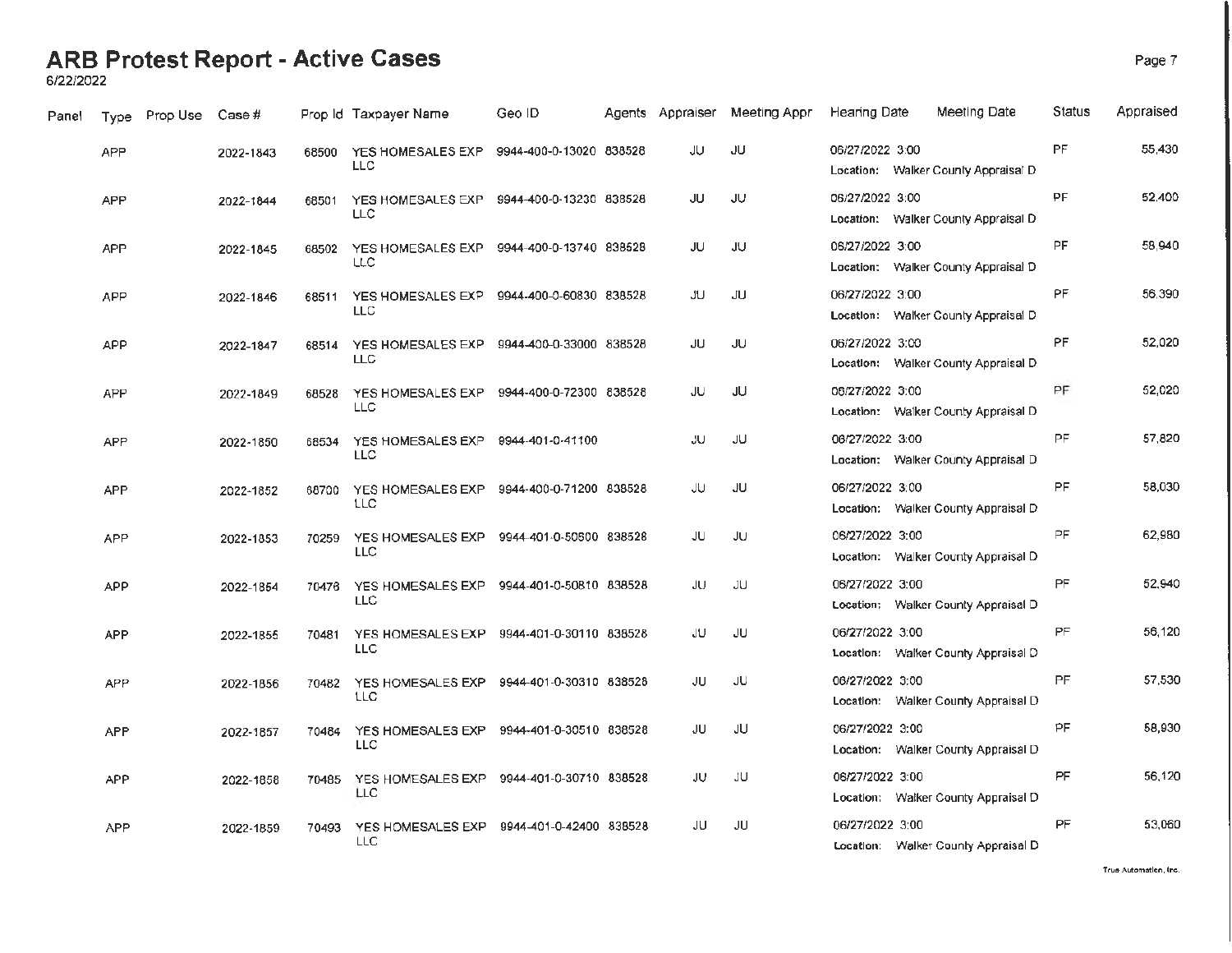6/22/2022

| Panel | Type       | Prop Use | Case #    |       | Prop Id Taxpayer Name                                   | Geo ID                  | Agents Appraiser | Meeting Appr | <b>Hearing Date</b> | Meeting Date                        | Status    | Appraised |
|-------|------------|----------|-----------|-------|---------------------------------------------------------|-------------------------|------------------|--------------|---------------------|-------------------------------------|-----------|-----------|
|       | <b>APP</b> |          | 2022-1843 | 68500 | YES HOMESALES EXP<br>LLC                                | 9944-400-0-13020 838528 | JU               | JU           | 06/27/2022 3:00     | Location: Walker County Appraisal D | PF        | 55,430    |
|       | <b>APP</b> |          | 2022-1844 | 68501 | YES HOMESALES EXP 9944-400-0-13230 838528<br>LLC        |                         | JU               | JU           | 06/27/2022 3:00     | Location: Walker County Appraisal D | PF        | 52,400    |
|       | <b>APP</b> |          | 2022-1845 | 68502 | YES HOMESALES EXP 9944-400-0-13740 838528<br>LLC        |                         | JU               | JU           | 06/27/2022 3:00     | Location: Walker County Appraisal D | PF        | 58,940    |
|       | APP        |          | 2022-1846 | 68511 | YES HOMESALES EXP<br>LLC                                | 9944-400-0-60830 838528 | <b>JU</b>        | JU           | 06/27/2022 3:00     | Location: Walker County Appraisal D | PF        | 56,390    |
|       | <b>APP</b> |          | 2022-1847 | 68514 | YES HOMESALES EXP 9944-400-0-33000 838528<br><b>LLC</b> |                         | JU               | <b>JU</b>    | 06/27/2022 3:00     | Location: Walker County Appraisal D | <b>PF</b> | 52.020    |
|       | <b>APP</b> |          | 2022-1849 | 68528 | YES HOMESALES EXP 9944-400-0-72300 838528<br>LLC.       |                         | JU               | JU           | 06/27/2022 3:00     | Location: Walker County Appraisal D | PF        | 52,020    |
|       | <b>APP</b> |          | 2022-1850 | 68534 | YES HOMESALES EXP<br><b>LLC</b>                         | 9944-401-0-41100        | JU.              | JU           | 06/27/2022 3:00     | Location: Walker County Appraisal D | <b>PF</b> | 57,820    |
|       | APP        |          | 2022-1852 | 68700 | YES HOMESALES EXP 9944-400-0-71200 838528<br>LLC        |                         | JU               | JU           | 06/27/2022 3:00     | Location: Walker County Appraisal D | <b>PF</b> | 58,030    |
|       | <b>APP</b> |          | 2022-1853 | 70259 | YES HOMESALES EXP<br><b>LLC</b>                         | 9944-401-0-50600 838528 | JU               | JU.          | 06/27/2022 3:00     | Location: Walker County Appraisal D | PF.       | 62,980    |
|       | <b>APP</b> |          | 2022-1854 | 70476 | YES HOMESALES EXP 9944-401-0-50810 838528<br><b>LLC</b> |                         | JU               | JU           | 06/27/2022 3:00     | Location: Walker County Appraisal D | <b>PF</b> | 52.940    |
|       | <b>APP</b> |          | 2022-1855 | 70481 | YES HOMESALES EXP<br><b>LLC</b>                         | 9944-401-0-30110 838528 | JU               | JU           | 06/27/2022 3:00     | Location: Walker County Appraisal D | PF        | 56,120    |
|       | <b>APP</b> |          | 2022-1856 | 70482 | YES HOMESALES EXP 9944-401-0-30310 838528<br>LLC        |                         | JU               | JU.          | 06/27/2022 3:00     | Location: Walker County Appraisal D | <b>PF</b> | 57,530    |
|       | <b>APP</b> |          | 2022-1857 | 70484 | YES HOMESALES EXP<br><b>LLC</b>                         | 9944-401-0-30510 838528 | JU               | JU           | 06/27/2022 3:00     | Location: Walker County Appraisal D | PF        | 58,930    |
|       | <b>APP</b> |          | 2022-1858 | 70485 | YES HOMESALES EXP 9944-401-0-30710 838528<br><b>LLC</b> |                         | JU               | JU.          | 06/27/2022 3:00     | Location: Walker County Appraisal D | PF        | 56,120    |
|       | <b>APP</b> |          | 2022-1859 | 70493 | YES HOMESALES EXP<br>LLC                                | 9944-401-0-42400 838528 | JU               | JU           | 06/27/2022 3:00     | Location: Walker County Appraisal D | PF        | 53,060    |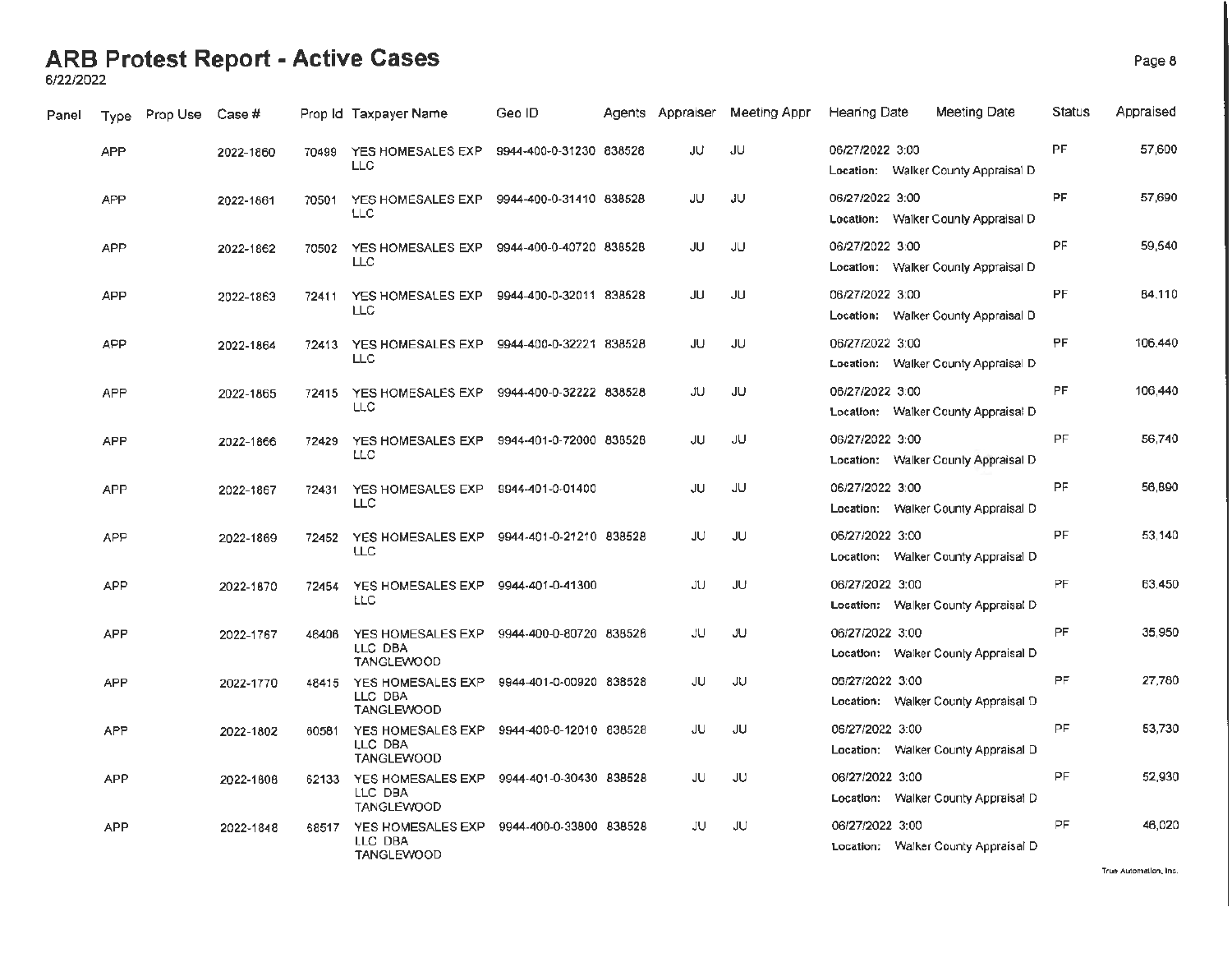6/22/2022

| Panel | Type       | Prop Use | Case #    |       | Prop Id Taxpayer Name                                              | Geo ID                  | Agents Appraiser | Meeting Appr | Hearing Date    | Meeting Date                        | Status    | Appraised           |
|-------|------------|----------|-----------|-------|--------------------------------------------------------------------|-------------------------|------------------|--------------|-----------------|-------------------------------------|-----------|---------------------|
|       | <b>APP</b> |          | 2022-1860 | 70499 | YES HOMESALES EXP<br><b>LLC</b>                                    | 9944-400-0-31230 838528 | JU               | JU           | 06/27/2022 3:00 | Location: Walker County Appraisal D | <b>PF</b> | 57.600              |
|       | <b>APP</b> |          | 2022-1861 | 70501 | YES HOMESALES EXP<br><b>LLC</b>                                    | 9944-400-0-31410 838528 | JU               | JU.          | 06/27/2022 3:00 | Location: Walker County Appraisal D | PF.       | 57,690              |
|       | <b>APP</b> |          | 2022-1862 | 70502 | YES HOMESALES EXP<br><b>LLC</b>                                    | 9944-400-0-40720 838528 | JU               | JU           | 06/27/2022 3:00 | Location: Walker County Appraisal D | PF.       | 59,540              |
|       | <b>APP</b> |          | 2022-1863 | 72411 | YES HOMESALES EXP<br><b>LLC</b>                                    | 9944-400-0-32011 838528 | JU               | <b>JU</b>    | 06/27/2022 3:00 | Location: Walker County Appraisal D | PF        | 84,110              |
|       | APP        |          | 2022-1864 |       | 72413 YES HOMESALES EXP 9944-400-0-32221 838528<br><b>LLC</b>      |                         | JU               | JU           | 06/27/2022 3:00 | Location: Walker County Appraisal D | PF.       | 106,440             |
|       | <b>APP</b> |          | 2022-1865 | 72415 | YES HOMESALES EXP 9944-400-0-32222 838528<br>LLC                   |                         | JU.              | JU           | 06/27/2022 3:00 | Location: Walker County Appraisal D | PF        | 106,440             |
|       | <b>APP</b> |          | 2022-1866 | 72429 | YES HOMESALES EXP 9944-401-0-72000 838528<br>LLC                   |                         | JU               | JU           | 06/27/2022 3:00 | Location: Walker County Appraisal D | PF        | 56,740              |
|       | APP        |          | 2022-1867 | 72431 | YES HOMESALES EXP<br><b>LLC</b>                                    | 9944-401-0-01400        | JU               | JU           | 06/27/2022 3:00 | Location: Walker County Appraisal D | PF        | 56,890              |
|       | <b>APP</b> |          | 2022-1869 | 72452 | YES HOMESALES EXP 9944-401-0-21210 838528<br><b>LLC</b>            |                         | JU               | <b>JU</b>    | 06/27/2022 3:00 | Location: Walker County Appraisal D | PF        | 53,140              |
|       | <b>APP</b> |          | 2022-1870 | 72454 | YES HOMESALES EXP<br><b>LLC</b>                                    | 9944-401-0-41300        | JU               | JU           | 06/27/2022 3:00 | Location: Walker County Appraisal D | PF        | 63,450              |
|       | <b>APP</b> |          | 2022-1767 | 46406 | YES HOMESALES EXP 9944-400-0-80720 838528<br>LLC DBA<br>TANGLEWOOD |                         | JU               | JU.          | 06/27/2022 3:00 | Location: Walker County Appraisal D | PF        | 35,950              |
|       | <b>APP</b> |          | 2022-1770 | 48415 | YES HOMESALES EXP<br>LLC DBA<br>TANGLEWOOD                         | 9944-401-0-00920 838528 | JU               | JU           | 06/27/2022 3:00 | Location: Walker County Appraisal D | PF        | 27,780              |
|       | <b>APP</b> |          | 2022-1802 | 60581 | YES HOMESALES EXP<br>LLC DBA<br>TANGLEWOOD                         | 9944-400-0-12010 838528 | JU               | JU           | 06/27/2022 3:00 | Location: Walker County Appraisal D | PF        | 53,730              |
|       | <b>APP</b> |          | 2022-1808 | 62133 | YES HOMESALES EXP<br>LLC DBA<br><b>TANGLEWOOD</b>                  | 9944-401-0-30430 838528 | JU               | JU           | 06/27/2022 3:00 | Location: Walker County Appraisal D | PF        | 52,930              |
|       | <b>APP</b> |          | 2022-1848 | 68517 | YES HOMESALES EXP<br>LLC DBA<br>TANGLEWOOD                         | 9944-400-0-33800 838528 | JU               | JU           | 06/27/2022 3:00 | Location: Walker County Appraisal D | PF        | 46,020              |
|       |            |          |           |       |                                                                    |                         |                  |              |                 |                                     |           | There deduction has |